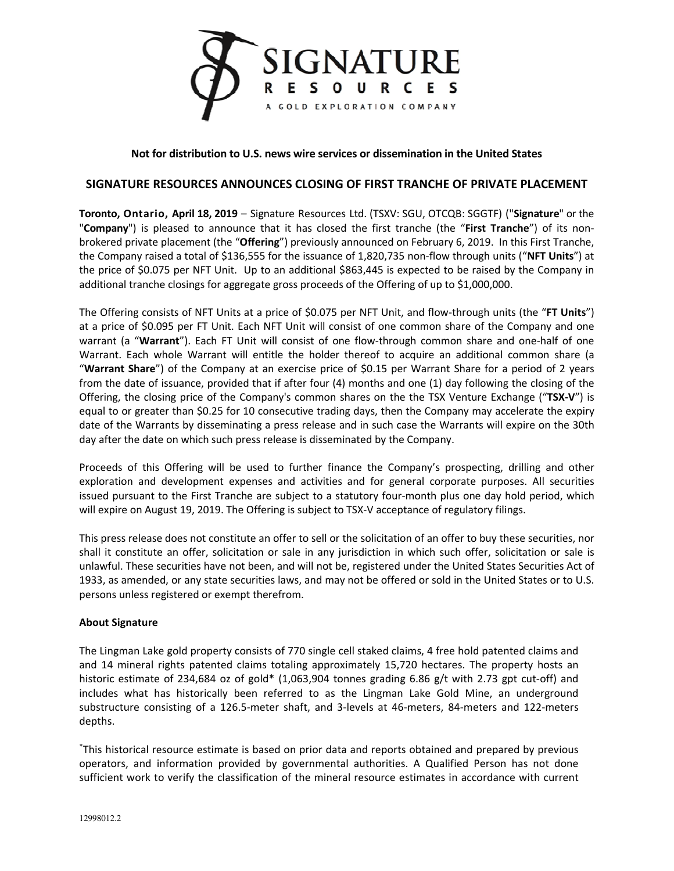

**Not for distribution to U.S. news wire services or dissemination in the United States** 

## **SIGNATURE RESOURCES ANNOUNCES CLOSING OF FIRST TRANCHE OF PRIVATE PLACEMENT**

**Toronto, Ontario, April 18, 2019** – Signature Resources Ltd. (TSXV: SGU, OTCQB: SGGTF) ("**Signature**" or the "**Company**") is pleased to announce that it has closed the first tranche (the "**First Tranche**") of its nonbrokered private placement (the "**Offering**") previously announced on February 6, 2019. In this First Tranche, the Company raised a total of \$136,555 for the issuance of 1,820,735 non-flow through units ("**NFT Units**") at the price of \$0.075 per NFT Unit. Up to an additional \$863,445 is expected to be raised by the Company in additional tranche closings for aggregate gross proceeds of the Offering of up to \$1,000,000.

The Offering consists of NFT Units at a price of \$0.075 per NFT Unit, and flow-through units (the "**FT Units**") at a price of \$0.095 per FT Unit. Each NFT Unit will consist of one common share of the Company and one warrant (a "**Warrant**"). Each FT Unit will consist of one flow-through common share and one-half of one Warrant. Each whole Warrant will entitle the holder thereof to acquire an additional common share (a "**Warrant Share**") of the Company at an exercise price of \$0.15 per Warrant Share for a period of 2 years from the date of issuance, provided that if after four (4) months and one (1) day following the closing of the Offering, the closing price of the Company's common shares on the the TSX Venture Exchange ("**TSX-V**") is equal to or greater than \$0.25 for 10 consecutive trading days, then the Company may accelerate the expiry date of the Warrants by disseminating a press release and in such case the Warrants will expire on the 30th day after the date on which such press release is disseminated by the Company.

Proceeds of this Offering will be used to further finance the Company's prospecting, drilling and other exploration and development expenses and activities and for general corporate purposes. All securities issued pursuant to the First Tranche are subject to a statutory four-month plus one day hold period, which will expire on August 19, 2019. The Offering is subject to TSX-V acceptance of regulatory filings.

This press release does not constitute an offer to sell or the solicitation of an offer to buy these securities, nor shall it constitute an offer, solicitation or sale in any jurisdiction in which such offer, solicitation or sale is unlawful. These securities have not been, and will not be, registered under the United States Securities Act of 1933, as amended, or any state securities laws, and may not be offered or sold in the United States or to U.S. persons unless registered or exempt therefrom.

## **About Signature**

The Lingman Lake gold property consists of 770 single cell staked claims, 4 free hold patented claims and and 14 mineral rights patented claims totaling approximately 15,720 hectares. The property hosts an historic estimate of 234,684 oz of gold\* (1,063,904 tonnes grading 6.86 g/t with 2.73 gpt cut-off) and includes what has historically been referred to as the Lingman Lake Gold Mine, an underground substructure consisting of a 126.5-meter shaft, and 3-levels at 46-meters, 84-meters and 122-meters depths.

\*This historical resource estimate is based on prior data and reports obtained and prepared by previous operators, and information provided by governmental authorities. A Qualified Person has not done sufficient work to verify the classification of the mineral resource estimates in accordance with current